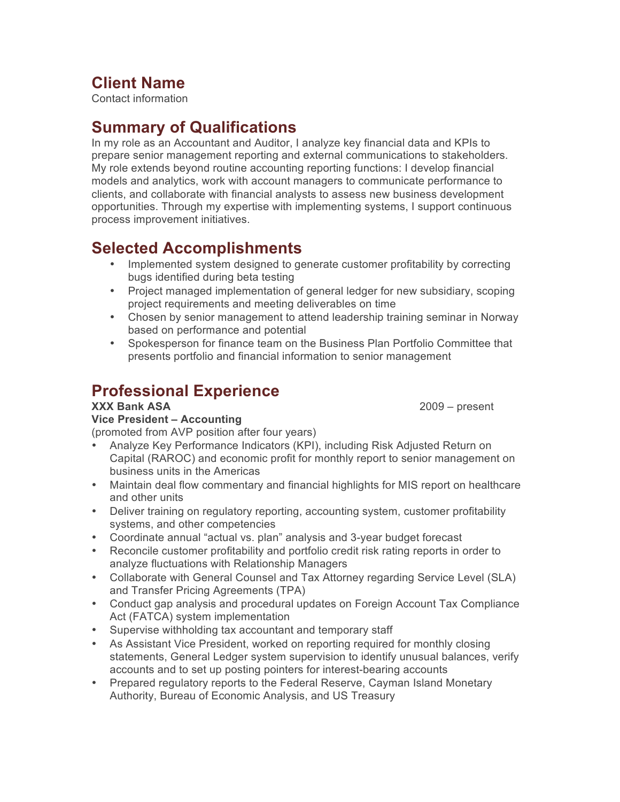# **Client Name**

Contact information

## **Summary of Qualifications**

In my role as an Accountant and Auditor, I analyze key financial data and KPIs to prepare senior management reporting and external communications to stakeholders. My role extends beyond routine accounting reporting functions: I develop financial models and analytics, work with account managers to communicate performance to clients, and collaborate with financial analysts to assess new business development opportunities. Through my expertise with implementing systems, I support continuous process improvement initiatives.

## **Selected Accomplishments**

- Implemented system designed to generate customer profitability by correcting bugs identified during beta testing
- Project managed implementation of general ledger for new subsidiary, scoping project requirements and meeting deliverables on time
- Chosen by senior management to attend leadership training seminar in Norway based on performance and potential
- Spokesperson for finance team on the Business Plan Portfolio Committee that presents portfolio and financial information to senior management

## **Professional Experience**

#### **XXX Bank ASA** 2009 – present

**Vice President – Accounting**

(promoted from AVP position after four years)

- Analyze Key Performance Indicators (KPI), including Risk Adjusted Return on Capital (RAROC) and economic profit for monthly report to senior management on business units in the Americas
- Maintain deal flow commentary and financial highlights for MIS report on healthcare and other units
- Deliver training on regulatory reporting, accounting system, customer profitability systems, and other competencies
- Coordinate annual "actual vs. plan" analysis and 3-year budget forecast
- Reconcile customer profitability and portfolio credit risk rating reports in order to analyze fluctuations with Relationship Managers
- Collaborate with General Counsel and Tax Attorney regarding Service Level (SLA) and Transfer Pricing Agreements (TPA)
- Conduct gap analysis and procedural updates on Foreign Account Tax Compliance Act (FATCA) system implementation
- Supervise withholding tax accountant and temporary staff
- As Assistant Vice President, worked on reporting required for monthly closing statements, General Ledger system supervision to identify unusual balances, verify accounts and to set up posting pointers for interest-bearing accounts
- Prepared regulatory reports to the Federal Reserve, Cayman Island Monetary Authority, Bureau of Economic Analysis, and US Treasury